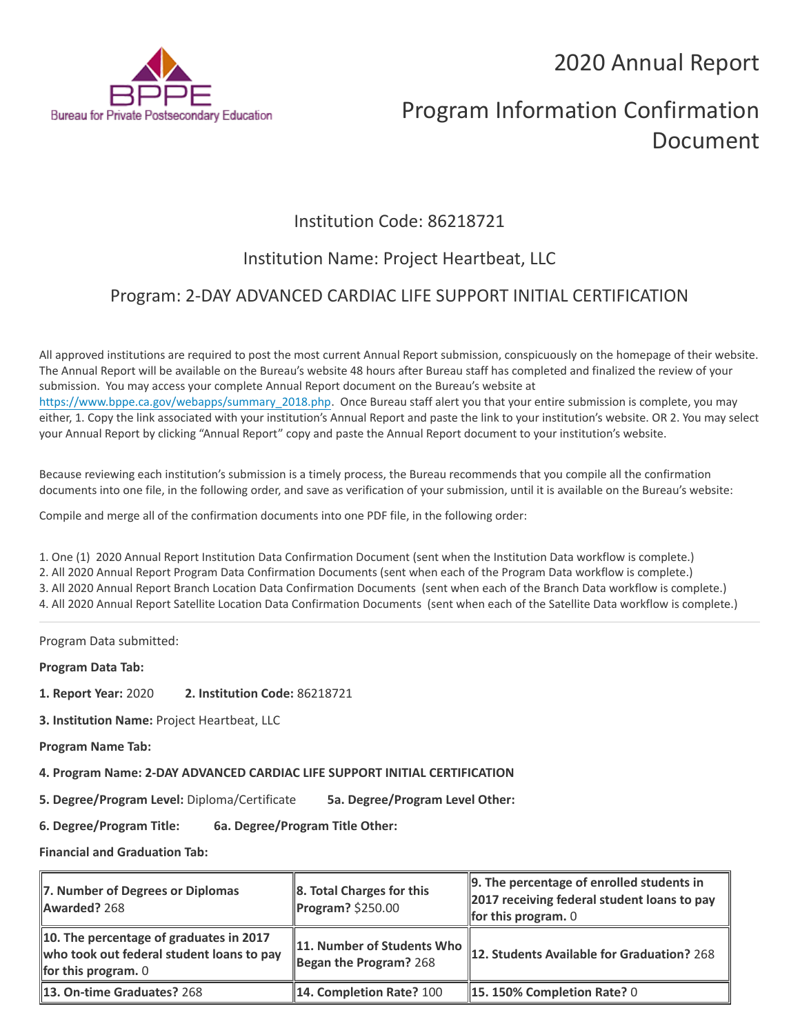2020 Annual Report



# Program Information Confirmation Document

## Institution Code: 86218721

## Institution Name: Project Heartbeat, LLC

### Program: 2-DAY ADVANCED CARDIAC LIFE SUPPORT INITIAL CERTIFICATION

All approved institutions are required to post the most current Annual Report submission, conspicuously on the homepage of their website. The Annual Report will be available on the Bureau's website 48 hours after Bureau staff has completed and finalized the review of your submission. You may access your complete Annual Report document on the Bureau's website at [https://www.bppe.ca.gov/webapps/summary\\_2018.php.](https://www.bppe.ca.gov/webapps/summary_2018.php) Once Bureau staff alert you that your entire submission is complete, you may either, 1. Copy the link associated with your institution's Annual Report and paste the link to your institution's website. OR 2. You may select your Annual Report by clicking "Annual Report" copy and paste the Annual Report document to your institution's website.

Because reviewing each institution's submission is a timely process, the Bureau recommends that you compile all the confirmation documents into one file, in the following order, and save as verification of your submission, until it is available on the Bureau's website:

Compile and merge all of the confirmation documents into one PDF file, in the following order:

1. One (1) 2020 Annual Report Institution Data Confirmation Document (sent when the Institution Data workflow is complete.) 2. All 2020 Annual Report Program Data Confirmation Documents (sent when each of the Program Data workflow is complete.) 3. All 2020 Annual Report Branch Location Data Confirmation Documents (sent when each of the Branch Data workflow is complete.) 4. All 2020 Annual Report Satellite Location Data Confirmation Documents (sent when each of the Satellite Data workflow is complete.)

Program Data submitted:

**Program Data Tab:**

- **1. Report Year:** 2020 **2. Institution Code:** 86218721
- **3. Institution Name:** Project Heartbeat, LLC
- **Program Name Tab:**

**4. Program Name: 2-DAY ADVANCED CARDIAC LIFE SUPPORT INITIAL CERTIFICATION** 

**5. Degree/Program Level:** Diploma/Certificate **5a. Degree/Program Level Other:**

**6. Degree/Program Title: 6a. Degree/Program Title Other:**

**Financial and Graduation Tab:**

| 7. Number of Degrees or Diplomas<br>Awarded? 268                                                              | 8. Total Charges for this<br>$\blacksquare$ Program? \$250.00 | 9. The percentage of enrolled students in<br>2017 receiving federal student loans to pay<br><b>for this program.</b> $0$ |
|---------------------------------------------------------------------------------------------------------------|---------------------------------------------------------------|--------------------------------------------------------------------------------------------------------------------------|
| 10. The percentage of graduates in 2017<br>who took out federal student loans to pay<br>for this program. $0$ | 11. Number of Students Who<br>Began the Program? 268          | 12. Students Available for Graduation? 268                                                                               |
| 13. On-time Graduates? 268                                                                                    | 14. Completion Rate? 100                                      | $\parallel$ 15. 150% Completion Rate? 0                                                                                  |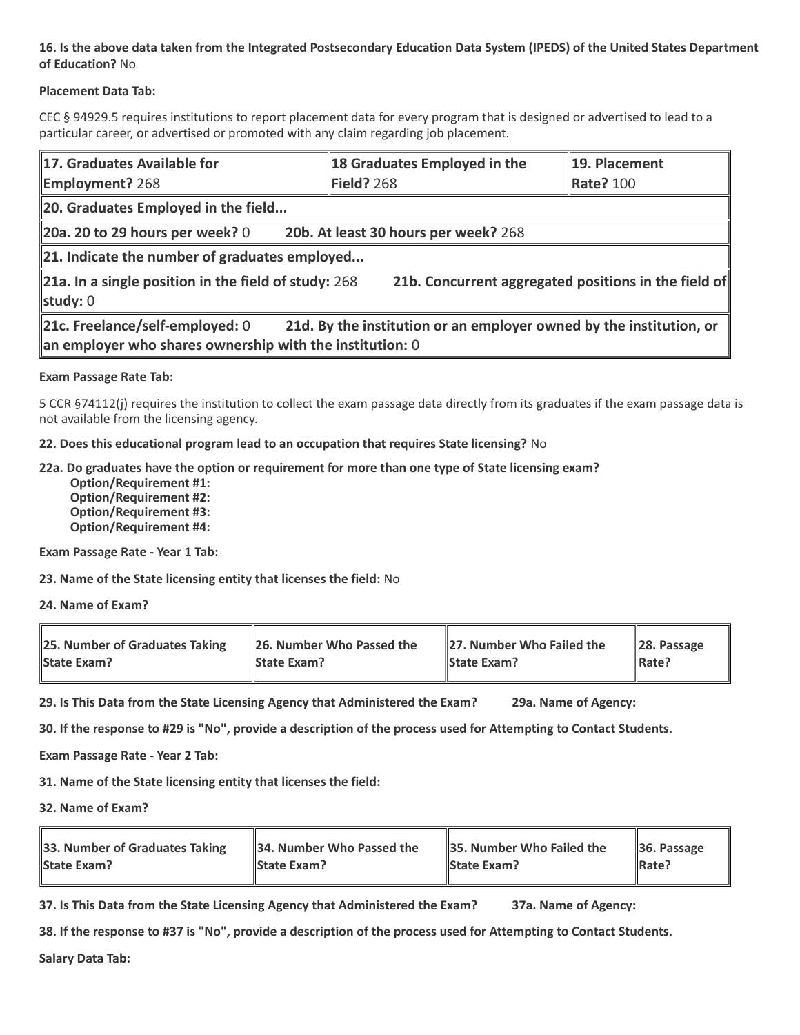### **16. Is the above data taken from the Integrated Postsecondary Education Data System (IPEDS) of the United States Department of Education?** No

### **Placement Data Tab:**

CEC § 94929.5 requires institutions to report placement data for every program that is designed or advertised to lead to a particular career, or advertised or promoted with any claim regarding job placement.

| 17. Graduates Available for<br><b>Employment? 268</b>                                                                                                                | 18 Graduates Employed in the<br>Field? 268 | 19. Placement<br><b>Rate? 100</b> |  |  |
|----------------------------------------------------------------------------------------------------------------------------------------------------------------------|--------------------------------------------|-----------------------------------|--|--|
| 20. Graduates Employed in the field                                                                                                                                  |                                            |                                   |  |  |
| 20a. 20 to 29 hours per week? $0$                                                                                                                                    | 20b. At least 30 hours per week? 268       |                                   |  |  |
| $\ $ 21. Indicate the number of graduates employed                                                                                                                   |                                            |                                   |  |  |
| 21a. In a single position in the field of study: $268$<br>21b. Concurrent aggregated positions in the field of<br>study: $0$                                         |                                            |                                   |  |  |
| 21c. Freelance/self-employed: 0<br>21d. By the institution or an employer owned by the institution, or<br>an employer who shares ownership with the institution: $0$ |                                            |                                   |  |  |

#### **Exam Passage Rate Tab:**

5 CCR §74112(j) requires the institution to collect the exam passage data directly from its graduates if the exam passage data is not available from the licensing agency.

**22. Does this educational program lead to an occupation that requires State licensing?** No

#### **22a. Do graduates have the option or requirement for more than one type of State licensing exam?**

 **Option/Requirement #1: Option/Requirement #2: Option/Requirement #3: Option/Requirement #4:**

**Exam Passage Rate - Year 1 Tab:**

**23. Name of the State licensing entity that licenses the field:** No

**24. Name of Exam?**

| 25. Number of Graduates Taking | 26. Number Who Passed the | 27. Number Who Failed the | $\ $ 28. Passage |
|--------------------------------|---------------------------|---------------------------|------------------|
| <b>State Exam?</b>             | <b>State Exam?</b>        | <b>State Exam?</b>        | Rate?            |

**29. Is This Data from the State Licensing Agency that Administered the Exam? 29a. Name of Agency:**

**30. If the response to #29 is "No", provide a description of the process used for Attempting to Contact Students.**

**Exam Passage Rate - Year 2 Tab:**

**31. Name of the State licensing entity that licenses the field:**

**32. Name of Exam?**

| 33. Number of Graduates Taking | 34. Number Who Passed the | <b>35. Number Who Failed the</b> | $\parallel$ 36. Passage |
|--------------------------------|---------------------------|----------------------------------|-------------------------|
| <b>State Exam?</b>             | <b>State Exam?</b>        | <b>State Exam?</b>               | $\parallel$ Rate?       |

**37. Is This Data from the State Licensing Agency that Administered the Exam? 37a. Name of Agency:**

**38. If the response to #37 is "No", provide a description of the process used for Attempting to Contact Students.** 

**Salary Data Tab:**